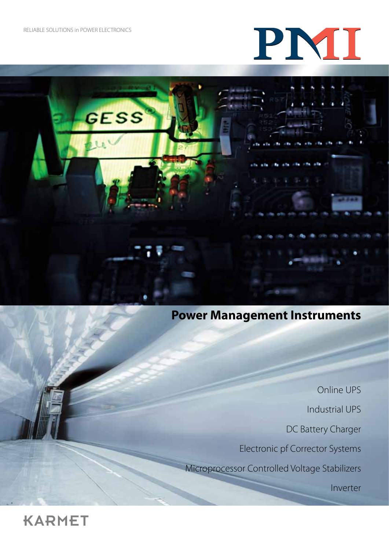# PNII



### **Power Management Instruments**

Online UPS Industrial UPS

DC Battery Charger

Electronic pf Corrector Systems

Microprocessor Controlled Voltage Stabilizers

Inverter

## **KARMET**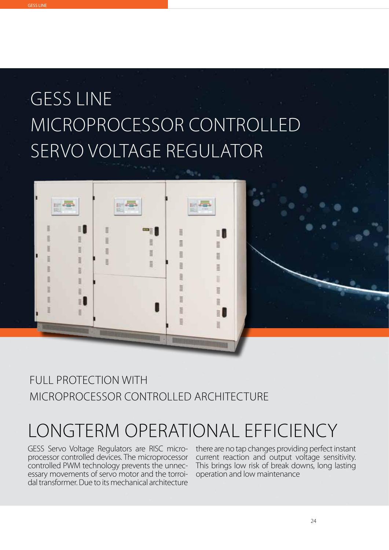# GESS LINE Microprocessor Controlled SERVO VOLTAGE REGULATOR



### FULL PROTECTION WITH MICROPROCESSOR CONTROLLED ARCHITECTURE

# Longterm Operational Efficiency

GESS Servo Voltage Regulators are RISC microprocessor controlled devices. The microprocessor controlled PWM technology prevents the unnecessary movements of servo motor and the torroi-<br>dal transformer. Due to its mechanical architecture

there are no tap changes providing perfect instant current reaction and output voltage sensitivity. This brings low risk of break downs, long lasting operation and low maintenance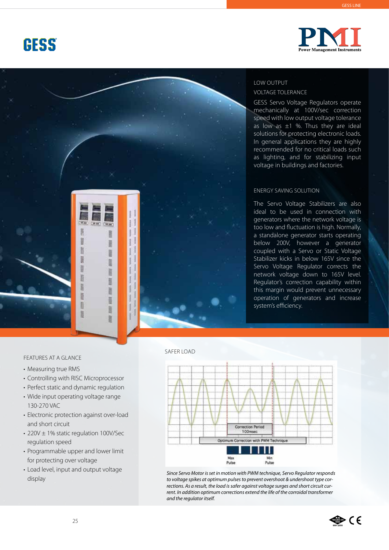GESS LINE







#### Low Output Voltage Tolerance

GESS Servo Voltage Regulators operate mechanically at 100V/sec correction speed with low output voltage tolerance as low as  $\pm 1$  %. Thus they are ideal solutions for protecting electronic loads. In general applications they are highly recommended for no critical loads such as lighting, and for stabilizing input voltage in buildings and factories.

#### Energy Saving Solution

The Servo Voltage Stabilizers are also ideal to be used in connection with generators where the network voltage is too low and fluctuation is high. Normally, a standalone generator starts operating below 200V, however a generator coupled with a Servo or Static Voltage Stabilizer kicks in below 165V since the Servo Voltage Regulator corrects the network voltage down to 165V level. Regulator's correction capability within this margin would prevent unnecessary operation of generators and increase system's efficiency.

#### Features at a glance

- Measuring true RMS
- Controlling with RISC Microprocessor
- Perfect static and dynamic regulation
- Wide input operating voltage range 130-270 VAC
- Electronic protection against over-load and short circuit
- $\cdot$  220V  $\pm$  1% static regulation 100V/Sec regulation speed
- Programmable upper and lower limit for protecting over voltage
- Load level, input and output voltage display

SAFER LOAD



*Since Servo Motor is set in motion with PWM technique, Servo Regulator responds to voltage spikes at optimum pulses to prevent overshoot & undershoot type corrections. As a result, the load is safer against voltage surges and short circuit current. In addition optimum corrections extend the life of the corroidal transformer and the regulator itself.*

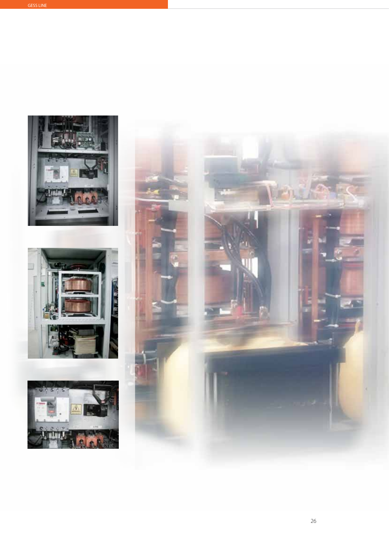





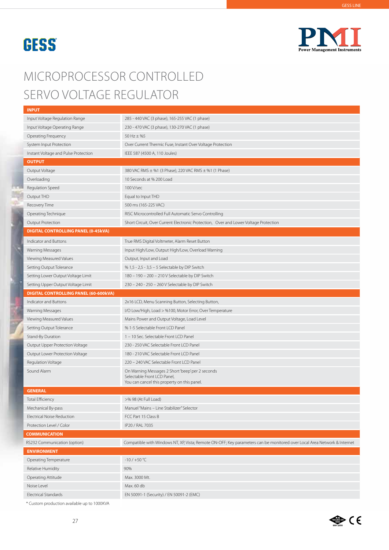

# **GESS**

# Microprocessor Controlled Servo Voltage Regulator

| <b>INPUT</b>                               |                                                                                                                                |
|--------------------------------------------|--------------------------------------------------------------------------------------------------------------------------------|
| Input Voltage Regulation Range             | 285 - 440 VAC (3 phase), 165-255 VAC (1 phase)                                                                                 |
| Input Voltage Operating Range              | 230 - 470 VAC (3 phase), 130-270 VAC (1 phase)                                                                                 |
| Operating Frequency                        | 50 Hz ± %5                                                                                                                     |
| System Input Protection                    | Over Current Thermic Fuse, Instant Over Voltage Protection                                                                     |
| Instant Voltage and Pulse Protection       | IEEE 587 (4500 A, 110 Joules)                                                                                                  |
| <b>OUTPUT</b>                              |                                                                                                                                |
| Output Voltage                             | 380 VAC RMS ± %1 (3 Phase), 220 VAC RMS ± %1 (1 Phase)                                                                         |
| Overloading                                | 10 Seconds at % 200 Load                                                                                                       |
| Regulation Speed                           | 100 V/sec                                                                                                                      |
| Output THD                                 | Equal to Input THD                                                                                                             |
| Recovery Time                              | 500 ms (165-225 VAC)                                                                                                           |
| Operating Technique                        | RISC Microcontrolled Full Automatic Servo Controlling                                                                          |
| Output Protection                          | Short Circuit, Over Current Electronic Protection, Over and Lower Voltage Protection                                           |
| <b>DIGITAL CONTROLLING PANEL (0-45kVA)</b> |                                                                                                                                |
| Indicator and Buttons                      | True RMS Digital Voltmeter, Alarm Reset Button                                                                                 |
| <b>Warning Messages</b>                    | Input High/Low, Output High/Low, Overload Warning                                                                              |
| Viewing Measured Values                    | Output, Input and Load                                                                                                         |
| Setting Output Tolerance                   | % 1,5 - 2,5 - 3,5 - 5 Selectable by DIP Switch                                                                                 |
| Setting Lower Output Voltage Limit         | 180 - 190 - 200 - 210 V Selectable by DIP Switch                                                                               |
| Setting Upper Output Voltage Limit         | 230 - 240 - 250 - 260 V Selectable by DIP Switch                                                                               |
| DIGITAL CONTROLLING PANEL (60-600kVA)      |                                                                                                                                |
| Indicator and Buttons                      | 2x16 LCD, Menu Scanning Button, Selecting Button,                                                                              |
| <b>Warning Messages</b>                    | I/O Low/High, Load > %100, Motor Error, Over Temperature                                                                       |
| Viewing Measured Values                    | Mains Power and Output Voltage, Load Level                                                                                     |
| Setting Output Tolerance                   | % 1-5 Selectable Front LCD Panel                                                                                               |
| Stand-By Duration                          | 1-10 Sec. Selectable Front LCD Panel                                                                                           |
| Output Upper Protection Voltage            | 230 - 250 VAC Selectable Front LCD Panel                                                                                       |
| Output Lower Protection Voltage            | 180 - 210 VAC Selectable Front LCD Panel                                                                                       |
| Regulation Voltage                         | 220 - 240 VAC Selectable Front LCD Panel                                                                                       |
| Sound Alarm                                | On Warning Messages 2 Short 'beep' per 2 seconds<br>Selectable Front LCD Panel,<br>You can cancel this property on this panel. |
| <b>GENERAL</b>                             |                                                                                                                                |
| Total Efficiency                           | >% 98 (At Full Load)                                                                                                           |
| Mechanical By-pass                         | Manuel "Mains - Line Stabilizer" Selector                                                                                      |
| <b>Electrical Noise Reduction</b>          | FCC Part 15 Class B                                                                                                            |
| Protection Level / Color                   | IP20 / RAL 7035                                                                                                                |
| <b>COMMUNICATION</b>                       |                                                                                                                                |
| RS232 Communication (option)               | Compatible with Windows NT, XP, Vista; Remote ON-OFF; Key parameters can be monitored over Local Area Network & Internet       |
| <b>ENVIRONMENT</b>                         |                                                                                                                                |
| Operating Temperature                      | $-10/ +50 °C$                                                                                                                  |
| Relative Humidity                          | 90%                                                                                                                            |
| Operating Attitude                         | Max. 3000 Mt.                                                                                                                  |
| Noise Level                                | Max. 60 db                                                                                                                     |
| Electrical Standards                       | EN 50091-1 (Security) / EN 50091-2 (EMC)                                                                                       |

\* Custom production available up to 1000KVA